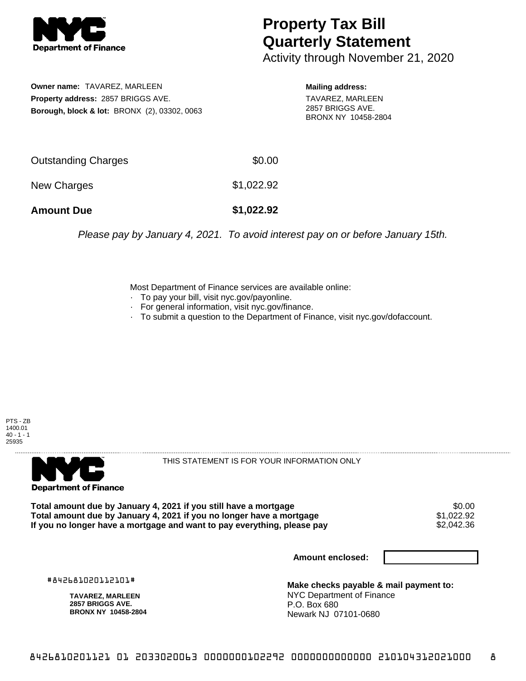

## **Property Tax Bill Quarterly Statement**

Activity through November 21, 2020

**Owner name:** TAVAREZ, MARLEEN **Property address:** 2857 BRIGGS AVE. **Borough, block & lot:** BRONX (2), 03302, 0063 **Mailing address:**

TAVAREZ, MARLEEN 2857 BRIGGS AVE. BRONX NY 10458-2804

| <b>Amount Due</b>   | \$1,022.92 |
|---------------------|------------|
| New Charges         | \$1,022.92 |
| Outstanding Charges | \$0.00     |

Please pay by January 4, 2021. To avoid interest pay on or before January 15th.

Most Department of Finance services are available online:

- · To pay your bill, visit nyc.gov/payonline.
- For general information, visit nyc.gov/finance.
- · To submit a question to the Department of Finance, visit nyc.gov/dofaccount.

PTS - ZB 1400.01  $40 - 1 - 1$ 25935



THIS STATEMENT IS FOR YOUR INFORMATION ONLY

Total amount due by January 4, 2021 if you still have a mortgage **\$0.00** \$0.00<br>Total amount due by January 4, 2021 if you no longer have a mortgage **\$1,022,92 Total amount due by January 4, 2021 if you no longer have a mortgage**  $$1,022.92$$ **<br>If you no longer have a mortgage and want to pay everything, please pay**  $$2,042.36$$ If you no longer have a mortgage and want to pay everything, please pay

**Amount enclosed:**

#842681020112101#

**TAVAREZ, MARLEEN 2857 BRIGGS AVE. BRONX NY 10458-2804**

**Make checks payable & mail payment to:** NYC Department of Finance P.O. Box 680 Newark NJ 07101-0680